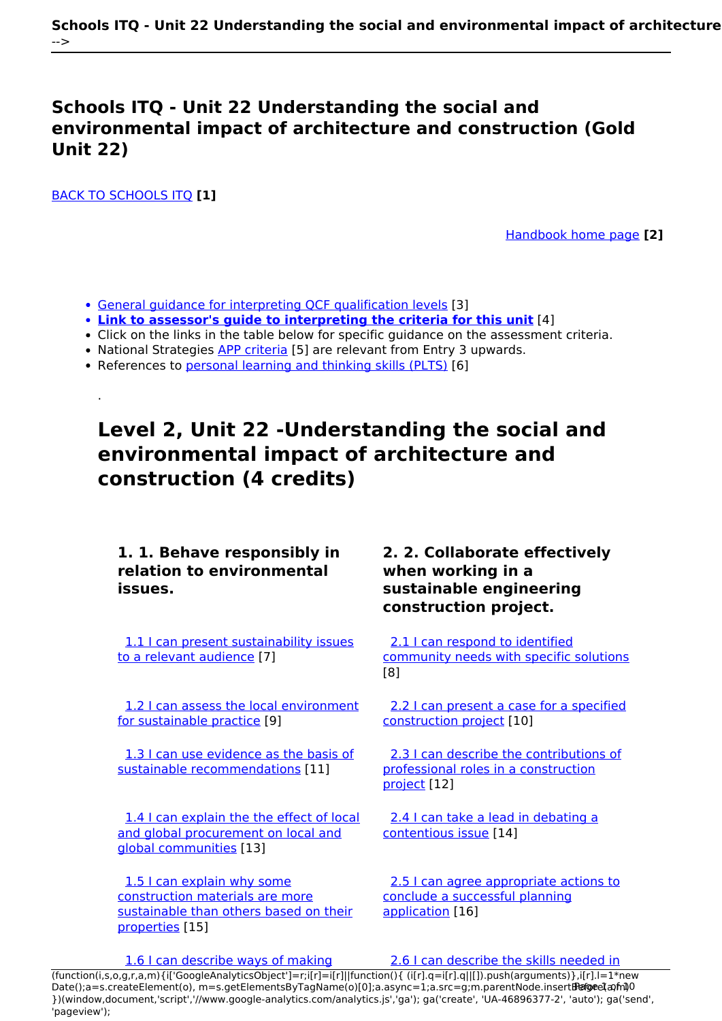### **Schools ITQ - Unit 22 Understanding the social and environmental impact of architecture and construction (Gold Unit 22)**

[BACK TO SCHOOLS ITQ](https://theingots.org/community/ITQ_unit_development) **[1]**

.

[Handbook home page](https://theingots.org/community/handbook2) **[2]**

- [General guidance for interpreting QCF qualification levels](https://theingots.org/community/QCF_levels) [3]
- **[Link to assessor's guide to interpreting the criteria for this unit](https://theingots.org/community/SIL2U22X)** [4]
- Click on the links in the table below for specific guidance on the assessment criteria.
- National Strategies [APP criteria](http://nationalstrategies.standards.dcsf.gov.uk/focuses/959/861/110166) [5] are relevant from Entry 3 upwards.
- References to [personal learning and thinking skills \(PLTS\)](http://curriculum.qcda.gov.uk/key-stages-3-and-4/skills/plts/planning-for-plts/index.aspx) [6]

# **Level 2, Unit 22 -Understanding the social and environmental impact of architecture and construction (4 credits)**

**1. 1. Behave responsibly in relation to environmental issues.**

[1.1 I can present sustainability issues](https://theingots.org/community/sil2u22x#1.1) [to a relevant audience](https://theingots.org/community/sil2u22x#1.1) [7]

[1.2 I can assess the local environment](https://theingots.org/community/sil2u22x#1.2) [for sustainable practice](https://theingots.org/community/sil2u22x#1.2) [9]

[1.3 I can use evidence as the basis of](https://theingots.org/community/sil2u22x#1.3) [sustainable recommendations](https://theingots.org/community/sil2u22x#1.3) [11]

[1.4 I can explain the the effect of local](https://theingots.org/community/sil2u22x#1.4) [and global procurement on local and](https://theingots.org/community/sil2u22x#1.4) [global communities](https://theingots.org/community/sil2u22x#1.4) [13]

 [1.5 I can explain why some](https://theingots.org/community/sil2u22x#1.5) [construction materials are more](https://theingots.org/community/sil2u22x#1.5) [sustainable than others based on their](https://theingots.org/community/sil2u22x#1.5) [properties](https://theingots.org/community/sil2u22x#1.5) [15]

### **2. 2. Collaborate effectively when working in a sustainable engineering construction project.**

[2.1 I can respond to identified](https://theingots.org/community/sil2u22x#2.1) [community needs with specific solutions](https://theingots.org/community/sil2u22x#2.1) [8]

[2.2 I can present a case for a specified](https://theingots.org/community/sil2u22x#2.2) [construction project](https://theingots.org/community/sil2u22x#2.2) [10]

 [2.3 I can describe the contributions of](https://theingots.org/community/sil2u22x#2.3) [professional roles in a construction](https://theingots.org/community/sil2u22x#2.3) [project](https://theingots.org/community/sil2u22x#2.3) [12]

 [2.4 I can take a lead in debating a](https://theingots.org/community/sil2u22x#2.4) [contentious issue](https://theingots.org/community/sil2u22x#2.4) [14]

 [2.5 I can agree appropriate actions to](https://theingots.org/community/sil2u22x#2.5) [conclude a successful planning](https://theingots.org/community/sil2u22x#2.5) [application](https://theingots.org/community/sil2u22x#2.5) [16]

[1.6 I can describe ways of making](https://theingots.org/community/sil2u22x#1.6) [2.6 I can describe the skills needed in](https://theingots.org/community/sil2u22x#2.6)

[\(function\(i,s,o,g,r,a,m\){i\['GoogleAnalyticsObject'\]=r;i\[r\]=i\[r\]||function\(\){ \(i\[r\].q=i\[r\].q||\[\]\).push\(arguments\)},i\[r\].l=1\\*new](https://theingots.org/community/sil2u22x#1.6) Date();a=s.createElement(o), m=s.getElementsByTagName(o)[0];a.async=1;a.src=g;m.parentNode.insert**Before**ຢຸ້*α*ງກົາ)0 [}\)\(window,document,'script','//www.google-analytics.com/analytics.js','ga'\); ga\('create', 'UA-46896377-2', 'auto'\); ga\('send',](https://theingots.org/community/sil2u22x#1.6) ['pageview'\);](https://theingots.org/community/sil2u22x#1.6)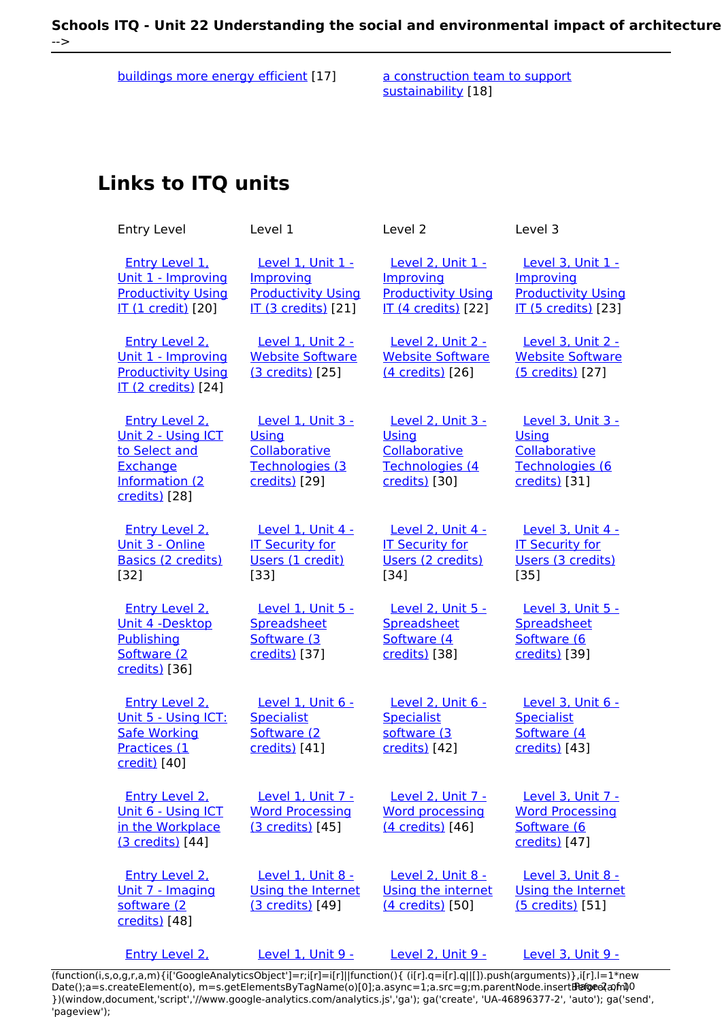[buildings more energy efficient](https://theingots.org/community/sil2u22x#1.6) [17] [a construction team to support](https://theingots.org/community/sil2u22x#2.6)

[sustainability](https://theingots.org/community/sil2u22x#2.6) [18]

## **Links to ITQ units**

| <b>Entry Level</b>                                                                                          | Level 1                                                                                   | Level <sub>2</sub>                                                                        | Level 3                                                                                   |  |
|-------------------------------------------------------------------------------------------------------------|-------------------------------------------------------------------------------------------|-------------------------------------------------------------------------------------------|-------------------------------------------------------------------------------------------|--|
| <b>Entry Level 1.</b><br>Unit 1 - Improving<br><b>Productivity Using</b><br><b>IT (1 credit)</b> [20]       | Level 1, Unit 1 -<br>Improving<br><b>Productivity Using</b><br><b>IT (3 credits)</b> [21] | Level 2, Unit 1 -<br>Improving<br><b>Productivity Using</b><br><b>IT (4 credits)</b> [22] | Level 3, Unit 1 -<br>Improving<br><b>Productivity Using</b><br><b>IT (5 credits)</b> [23] |  |
| <b>Entry Level 2.</b><br>Unit 1 - Improving<br><b>Productivity Using</b><br>IT (2 credits) [24]             | Level 1, Unit 2 -<br><b>Website Software</b><br>(3 credits) [25]                          | <b>Level 2, Unit 2 -</b><br><b>Website Software</b><br>(4 credits) [26]                   | Level 3, Unit 2 -<br><b>Website Software</b><br>(5 credits) [27]                          |  |
| <b>Entry Level 2.</b><br>Unit 2 - Using ICT<br>to Select and<br>Exchange<br>Information (2<br>credits) [28] | Level 1, Unit 3 -<br>Using<br>Collaborative<br>Technologies (3<br>credits) [29]           | <b>Level 2, Unit 3 -</b><br>Using<br>Collaborative<br>Technologies (4<br>credits) [30]    | Level 3, Unit 3 -<br><b>Using</b><br>Collaborative<br>Technologies (6<br>credits) [31]    |  |
| <b>Entry Level 2.</b><br>Unit 3 - Online<br><b>Basics (2 credits)</b><br>$[32]$                             | Level 1, Unit 4 -<br><b>IT Security for</b><br>Users (1 credit)<br>[33]                   | Level 2, Unit 4 -<br><b>IT Security for</b><br>Users (2 credits)<br>$[34]$                | Level 3, Unit 4 -<br><b>IT Security for</b><br>Users (3 credits)<br>$[35]$                |  |
| <b>Entry Level 2.</b><br>Unit 4 -Desktop<br>Publishing<br>Software (2<br>credits) [36]                      | <b>Level 1, Unit 5 -</b><br>Spreadsheet<br>Software (3<br>credits) [37]                   | Level 2, Unit 5 -<br>Spreadsheet<br>Software (4<br>credits) [38]                          | Level 3, Unit 5 -<br>Spreadsheet<br>Software (6<br>credits) [39]                          |  |
| <b>Entry Level 2.</b><br>Unit 5 - Using ICT:<br><b>Safe Working</b><br>Practices (1<br><u>credit)</u> [40]  | Level 1, Unit 6 -<br><b>Specialist</b><br>Software (2<br>credits) [41]                    | Level 2, Unit 6 -<br><b>Specialist</b><br>software (3<br>credits) [42]                    | Level 3, Unit 6 -<br><b>Specialist</b><br>Software (4<br>credits) [43]                    |  |
| <b>Entry Level 2.</b><br>Unit 6 - Using ICT<br>in the Workplace<br>(3 credits) [44]                         | Level 1, Unit 7 -<br><b>Word Processing</b><br>(3 credits) [45]                           | Level 2, Unit 7 -<br><b>Word processing</b><br>(4 credits) [46]                           | Level 3, Unit 7 -<br><b>Word Processing</b><br>Software (6<br>credits) [47]               |  |
| <b>Entry Level 2.</b><br>Unit 7 - Imaging<br>software (2<br>credits) [48]                                   | Level 1, Unit 8 -<br>Using the Internet<br>(3 credits) [49]                               | Level 2, Unit 8 -<br>Using the internet<br>(4 credits) [50]                               | Level 3, Unit 8 -<br>Using the Internet<br>(5 credits) [51]                               |  |
| Entry Level 2.                                                                                              | Level 1, Unit 9 -                                                                         | Level 2, Unit 9 -                                                                         | <b>Level 3. Unit 9 -</b>                                                                  |  |

[\(function\(i,s,o,g,r,a,m\){i\['GoogleAnalyticsObject'\]=r;i\[r\]=i\[r\]||function\(\){ \(i\[r\].q=i\[r\].q||\[\]\).push\(arguments\)},i\[r\].l=1\\*new](https://theingots.org/community/siel2u8) Date();a=s.createElement(o), m=s.getElementsByTagName(o)[0];a.async=1;a.src=g;m.parentNode.insert**Bෂ@e**ද?aກກ [}\)\(window,document,'script','//www.google-analytics.com/analytics.js','ga'\); ga\('create', 'UA-46896377-2', 'auto'\); ga\('send',](https://theingots.org/community/siel2u8) ['pageview'\);](https://theingots.org/community/siel2u8) **Pagee?a**nfnl0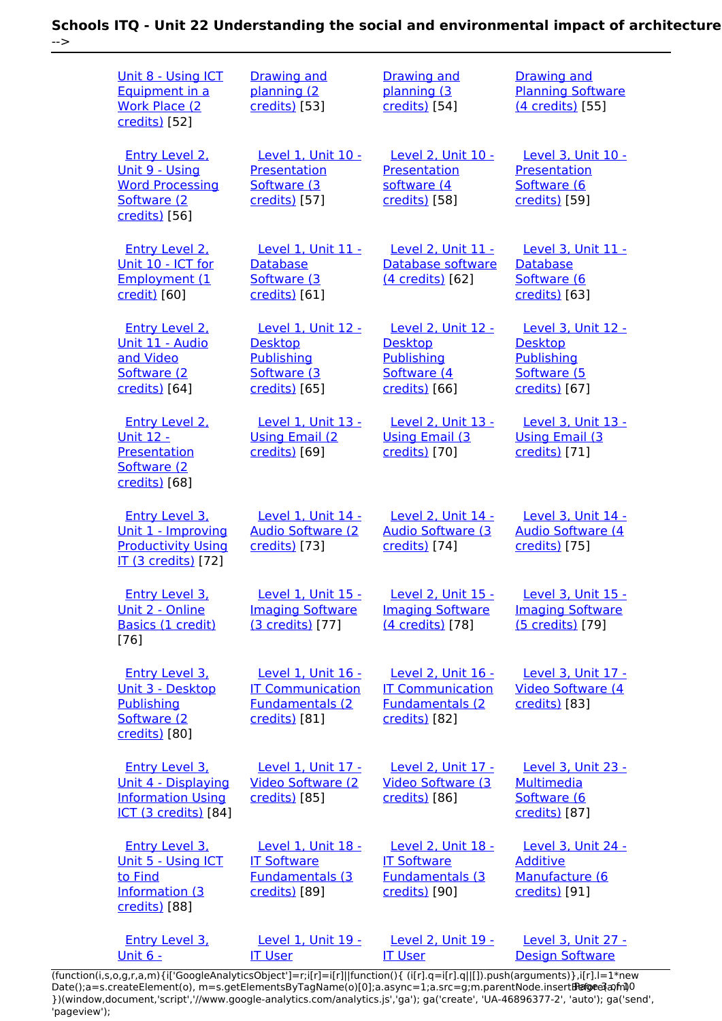| Unit 8 - Using ICT<br>Equipment in a<br><b>Work Place (2)</b><br>credits) [52]                          | <b>Drawing and</b><br>planning (2<br>credits) [53]                                          | <b>Drawing and</b><br>planning (3<br>credits) [54]                                          | <b>Drawing and</b><br><b>Planning Software</b><br>(4 credits) [55]                               |
|---------------------------------------------------------------------------------------------------------|---------------------------------------------------------------------------------------------|---------------------------------------------------------------------------------------------|--------------------------------------------------------------------------------------------------|
| Entry Level 2.<br><u> Unit 9 - Using</u><br><b>Word Processing</b><br>Software (2<br>credits) [56]      | Level 1. Unit 10 -<br>Presentation<br>Software (3<br>credits) [57]                          | Level 2, Unit 10 -<br>Presentation<br>software (4<br>credits) [58]                          | Level 3, Unit 10 -<br><b>Presentation</b><br>Software (6<br>credits) [59]                        |
| <b>Entry Level 2.</b><br>Unit 10 - ICT for<br>Employment (1<br>credit) [60]                             | <b>Level 1, Unit 11 -</b><br>Database<br>Software (3<br>credits) [61]                       | <b>Level 2, Unit 11 -</b><br>Database software<br>(4 credits) [62]                          | <b>Level 3, Unit 11 -</b><br>Database<br>Software (6<br>credits) [63]                            |
| Entry Level 2.<br>Unit 11 - Audio<br>and Video<br>Software (2<br>credits) [64]                          | Level 1, Unit 12 -<br><b>Desktop</b><br><b>Publishing</b><br>Software (3<br>credits) [65]   | Level 2. Unit 12 -<br><b>Desktop</b><br>Publishing<br>Software (4<br>credits) [66]          | <b>Level 3. Unit 12 -</b><br><b>Desktop</b><br><b>Publishing</b><br>Software (5<br>credits) [67] |
| <b>Entry Level 2.</b><br><u> Unit 12 -</u><br><b>Presentation</b><br>Software (2<br>credits) [68]       | Level 1, Unit 13 -<br><b>Using Email (2)</b><br>credits) [69]                               | <b>Level 2, Unit 13 -</b><br><b>Using Email (3)</b><br>credits) [70]                        | Level 3, Unit 13 -<br><b>Using Email (3)</b><br>credits) [71]                                    |
| <b>Entry Level 3.</b><br>Unit 1 - Improving<br><b>Productivity Using</b><br>IT (3 credits) [72]         | Level 1, Unit 14 -<br><b>Audio Software (2)</b><br>credits) [73]                            | Level 2, Unit 14 -<br><b>Audio Software (3)</b><br>credits) [74]                            | <b>Level 3, Unit 14 -</b><br><b>Audio Software (4)</b><br>credits) [75]                          |
| Entry Level 3.<br>Unit 2 - Online<br>Basics (1 credit)<br>$[76]$                                        | Level 1. Unit 15 -<br><b>Imaging Software</b><br>(3 credits) [77]                           | <b>Level 2. Unit 15 -</b><br><b>Imaging Software</b><br>(4 credits) [78]                    | Level 3. Unit 15 -<br><b>Imaging Software</b><br>(5 credits) [79]                                |
| <b>Entry Level 3.</b><br>Unit 3 - Desktop<br>Publishing<br>Software (2<br>credits) [80]                 | Level 1, Unit 16 -<br><b>IT Communication</b><br><b>Fundamentals (2)</b><br>credits) [81]   | Level 2, Unit 16 -<br><b>IT Communication</b><br><b>Fundamentals (2)</b><br>credits) [82]   | Level 3, Unit 17 -<br>Video Software (4<br>credits) [83]                                         |
| <b>Entry Level 3.</b><br>Unit 4 - Displaying<br><b>Information Using</b><br><b>ICT (3 credits)</b> [84] | Level 1, Unit 17 -<br><b>Video Software (2)</b><br>credits) [85]                            | Level 2, Unit 17 -<br><b>Video Software (3)</b><br>credits) [86]                            | Level 3, Unit 23 -<br><b>Multimedia</b><br>Software (6<br>credits) [87]                          |
| <b>Entry Level 3.</b><br>Unit 5 - Using ICT<br>to Find<br>Information (3<br>credits) [88]               | <b>Level 1, Unit 18 -</b><br><b>IT Software</b><br><b>Fundamentals (3)</b><br>credits) [89] | <b>Level 2, Unit 18 -</b><br><b>IT Software</b><br><b>Fundamentals (3)</b><br>credits) [90] | <b>Level 3, Unit 24 -</b><br><b>Additive</b><br>Manufacture (6<br>credits) [91]                  |
| <b>Entry Level 3.</b><br><u> Unit 6 -</u>                                                               | Level 1, Unit 19 -<br><b>IT User</b>                                                        | <b>Level 2, Unit 19 -</b><br><b>IT User</b>                                                 | Level 3, Unit 27 -<br><b>Design Software</b>                                                     |

[\(function\(i,s,o,g,r,a,m\){i\['GoogleAnalyticsObject'\]=r;i\[r\]=i\[r\]||function\(\){ \(i\[r\].q=i\[r\].q||\[\]\).push\(arguments\)},i\[r\].l=1\\*new](https://theingots.org/community/siel3u6) Date();a=s.createElement(o), m=s.getElementsByTagName(o)[0];a.async=1;a.src=g;m.parentNode.insert**Before**??aภm [}\)\(window,document,'script','//www.google-analytics.com/analytics.js','ga'\); ga\('create', 'UA-46896377-2', 'auto'\); ga\('send',](https://theingots.org/community/siel3u6) ['pageview'\);](https://theingots.org/community/siel3u6) **Page**e}anfnl0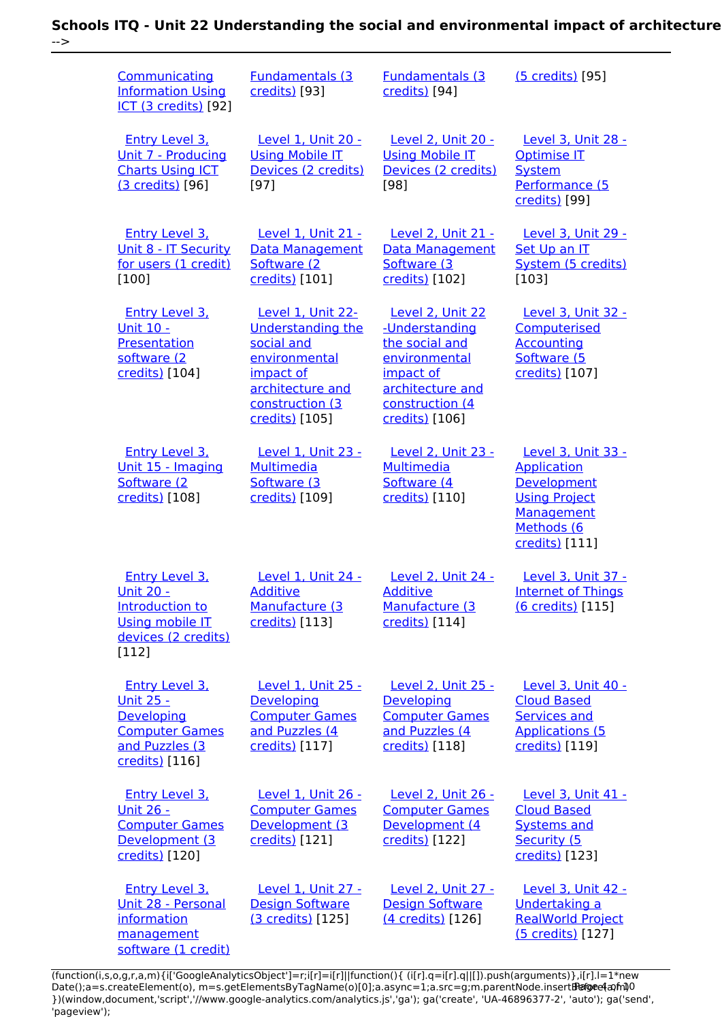| Communicating<br><b>Information Using</b><br>ICT (3 credits) [92]                                                     | <b>Fundamentals (3</b><br>credits) [93]                                                                                                            | <b>Fundamentals (3)</b><br>credits) [94]                                                                                                    | (5 credits) [95]                                                                                                              |
|-----------------------------------------------------------------------------------------------------------------------|----------------------------------------------------------------------------------------------------------------------------------------------------|---------------------------------------------------------------------------------------------------------------------------------------------|-------------------------------------------------------------------------------------------------------------------------------|
| <b>Entry Level 3.</b><br>Unit 7 - Producing<br><b>Charts Using ICT</b><br>(3 credits) [96]                            | Level 1, Unit 20 -<br><b>Using Mobile IT</b><br>Devices (2 credits)<br>$[97]$                                                                      | Level 2, Unit 20 -<br><b>Using Mobile IT</b><br>Devices (2 credits)<br>[98]                                                                 | Level 3, Unit 28 -<br><b>Optimise IT</b><br><b>System</b><br>Performance (5<br>credits) [99]                                  |
| <b>Entry Level 3.</b><br>Unit 8 - IT Security<br>for users (1 credit)<br>[100]                                        | Level 1, Unit 21 -<br>Data Management<br>Software (2)<br>credits) [101]                                                                            | Level 2, Unit 21 -<br><b>Data Management</b><br>Software (3<br>credits) [102]                                                               | Level 3, Unit 29 -<br>Set Up an IT<br>System (5 credits)<br>[103]                                                             |
| <b>Entry Level 3.</b><br>Unit 10 -<br>Presentation<br>software (2<br>credits) [104]                                   | Level 1, Unit 22-<br><b>Understanding the</b><br>social and<br>environmental<br>impact of<br>architecture and<br>construction (3<br>credits) [105] | Level 2, Unit 22<br>-Understanding<br>the social and<br>environmental<br>impact of<br>architecture and<br>construction (4<br>credits) [106] | <b>Level 3, Unit 32 -</b><br>Computerised<br><b>Accounting</b><br>Software (5<br>credits) [107]                               |
| <b>Entry Level 3.</b><br>Unit 15 - Imaging<br>Software (2<br>credits) [108]                                           | Level 1, Unit 23 -<br>Multimedia<br>Software (3<br>credits) [109]                                                                                  | Level 2, Unit 23 -<br>Multimedia<br>Software (4<br>credits) [110]                                                                           | Level 3, Unit 33 -<br><b>Application</b><br>Development<br><b>Using Project</b><br>Management<br>Methods (6<br>credits) [111] |
| Entry Level 3.<br><b>Unit 20 -</b><br>Introduction to<br>Using mobile IT<br>devices (2 credits)<br>[112]              | <b>Level 1. Unit 24 -</b><br><b>Additive</b><br>Manufacture (3<br>credits) [113]                                                                   | <b>Level 2. Unit 24 -</b><br><b>Additive</b><br>Manufacture (3<br>credits) [114]                                                            | Level 3. Unit 37 -<br><b>Internet of Things</b><br>(6 credits) [115]                                                          |
| <b>Entry Level 3,</b><br><u> Unit 25 -</u><br>Developing<br><b>Computer Games</b><br>and Puzzles (3<br>credits) [116] | Level 1, Unit 25 -<br>Developing<br><b>Computer Games</b><br>and Puzzles (4<br>credits) [117]                                                      | Level 2. Unit 25 -<br>Developing<br><b>Computer Games</b><br>and Puzzles (4<br>credits) [118]                                               | Level 3, Unit 40 -<br><b>Cloud Based</b><br><b>Services and</b><br><b>Applications (5</b><br>credits) [119]                   |
| <b>Entry Level 3.</b><br><u> Unit 26 -</u><br><b>Computer Games</b><br>Development (3<br>credits) [120]               | Level 1, Unit 26 -<br><b>Computer Games</b><br>Development (3<br>credits) [121]                                                                    | Level 2, Unit 26 -<br><b>Computer Games</b><br>Development (4<br>credits) [122]                                                             | Level 3, Unit 41 -<br><b>Cloud Based</b><br><b>Systems and</b><br>Security (5<br>credits) [123]                               |
| <b>Entry Level 3,</b><br>Unit 28 - Personal<br><i>information</i><br>management<br>software (1 credit)                | Level 1. Unit 27 -<br><b>Design Software</b><br>(3 credits) [125]                                                                                  | <b>Level 2. Unit 27 -</b><br><b>Design Software</b><br>(4 credits) [126]                                                                    | Level 3, Unit 42 -<br>Undertaking a<br><b>RealWorld Project</b><br>(5 credits) [127]                                          |

(function(i,s,o,g,r,a,m){i['GoogleAnalyticsObject']=r;i[r]=i[r]||function(){ (i[r].q=i[r].q||[]).push(arguments)},i[r].l=1\*new Date();a=s.createElement(o), m=s.getElementsByTagName(o)[0];a.async=1;a.src=g;m.parentNode.insert**Bෂ@ee{**aንከቅ })(window,document,'script','//www.google-analytics.com/analytics.js','ga'); ga('create', 'UA-46896377-2', 'auto'); ga('send', 'pageview'); Page 4 of 10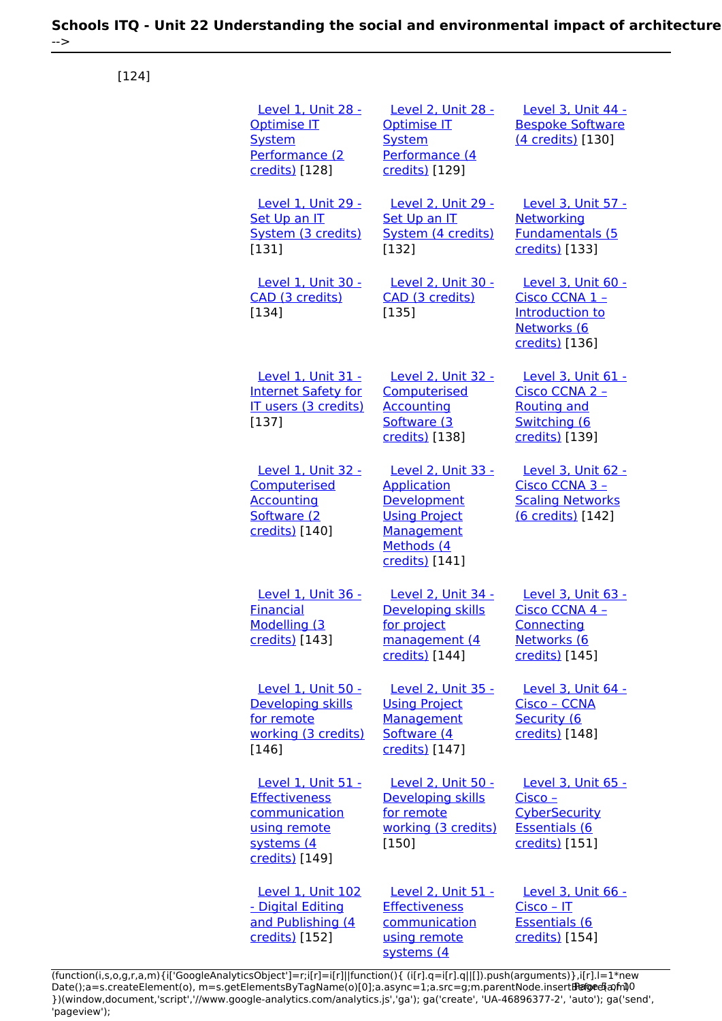**Schools ITQ - Unit 22 Understanding the social and environmental impact of architecture** -->

[124]

| <b>Optimise IT</b><br><b>System</b><br>Performance (2<br>credits) [128]               | Level 1, Unit 28 -                                                       | Level 2. Unit 28 -<br>Optimise IT<br><b>System</b><br>Performance (4<br>credits) [129]                                        | Level 3. Unit 44 -<br><b>Bespoke Software</b><br>(4 credits) [130]                                       |
|---------------------------------------------------------------------------------------|--------------------------------------------------------------------------|-------------------------------------------------------------------------------------------------------------------------------|----------------------------------------------------------------------------------------------------------|
| Set Up an IT<br>[131]                                                                 | Level 1, Unit 29 -<br>System (3 credits)                                 | Level 2, Unit 29 -<br>Set Up an IT<br>System (4 credits)<br>[132]                                                             | Level 3, Unit 57 -<br>Networking<br><b>Fundamentals (5</b><br>credits) [133]                             |
| CAD (3 credits)<br>$[134]$                                                            | Level 1, Unit 30 -                                                       | Level 2, Unit 30 -<br>CAD (3 credits)<br>[135]                                                                                | Level 3, Unit 60 -<br>Cisco CCNA 1 -<br>Introduction to<br>Networks (6<br>credits) [136]                 |
| [137]                                                                                 | Level 1, Unit 31 -<br><b>Internet Safety for</b><br>IT users (3 credits) | <b>Level 2, Unit 32 -</b><br>Computerised<br><b>Accounting</b><br>Software (3<br>credits) [138]                               | Level 3, Unit 61 -<br>Cisco CCNA 2 -<br><b>Routing and</b><br>Switching (6<br>credits) [139]             |
| Computerised<br><b>Accounting</b><br>Software (2<br>credits) [140]                    | Level 1, Unit 32 -                                                       | Level 2, Unit 33 -<br><b>Application</b><br>Development<br><b>Using Project</b><br>Management<br>Methods (4<br>credits) [141] | Level 3, Unit 62 -<br>Cisco CCNA 3 -<br><b>Scaling Networks</b><br>(6 credits) [142]                     |
| <b>Financial</b><br>Modelling (3<br>credits) [143]                                    | Level 1, Unit 36 -                                                       | Level 2. Unit 34 -<br><b>Developing skills</b><br><u>for project</u><br>management (4<br>credits) [144]                       | Level 3, Unit 63 -<br>Cisco CCNA 4 -<br>Connecting<br>Networks (6<br>credits) [145]                      |
| <b>Developing skills</b><br>for remote<br>[146]                                       | Level 1, Unit 50 -<br>working (3 credits)                                | Level 2, Unit 35 -<br><b>Using Project</b><br>Management<br>Software (4<br>credits) [147]                                     | Level 3, Unit 64 -<br>Cisco - CCNA<br>Security (6<br>credits) [148]                                      |
| <b>Effectiveness</b><br>communication<br>using remote<br>systems (4<br>credits) [149] | <b>Level 1, Unit 51 -</b>                                                | Level 2, Unit 50 -<br>Developing skills<br>for remote<br>working (3 credits)<br>$[150]$                                       | <b>Level 3, Unit 65 -</b><br>$Cisco -$<br><b>CyberSecurity</b><br><b>Essentials (6</b><br>credits) [151] |
| - Digital Editing<br>credits) [152]                                                   | Level 1, Unit 102<br>and Publishing (4                                   | Level 2, Unit 51 -<br><b>Effectiveness</b><br>communication<br>using remote<br>systems (4                                     | Level 3, Unit 66 -<br>$Cisco - IT$<br><b>Essentials (6</b><br>credits) [154]                             |

[\(function\(i,s,o,g,r,a,m\){i\['GoogleAnalyticsObject'\]=r;i\[r\]=i\[r\]||function\(\){ \(i\[r\].q=i\[r\].q||\[\]\).push\(arguments\)},i\[r\].l=1\\*new](https://theingots.org/community/sil2u51) Date();a=s.createElement(o), m=s.getElementsByTagName(o)[0];a.async=1;a.src=g;m.parentNode.insert**Before**e(a,m) [}\)\(window,document,'script','//www.google-analytics.com/analytics.js','ga'\); ga\('create', 'UA-46896377-2', 'auto'\); ga\('send',](https://theingots.org/community/sil2u51) ['pageview'\);](https://theingots.org/community/sil2u51) Pagoreda, fnl)0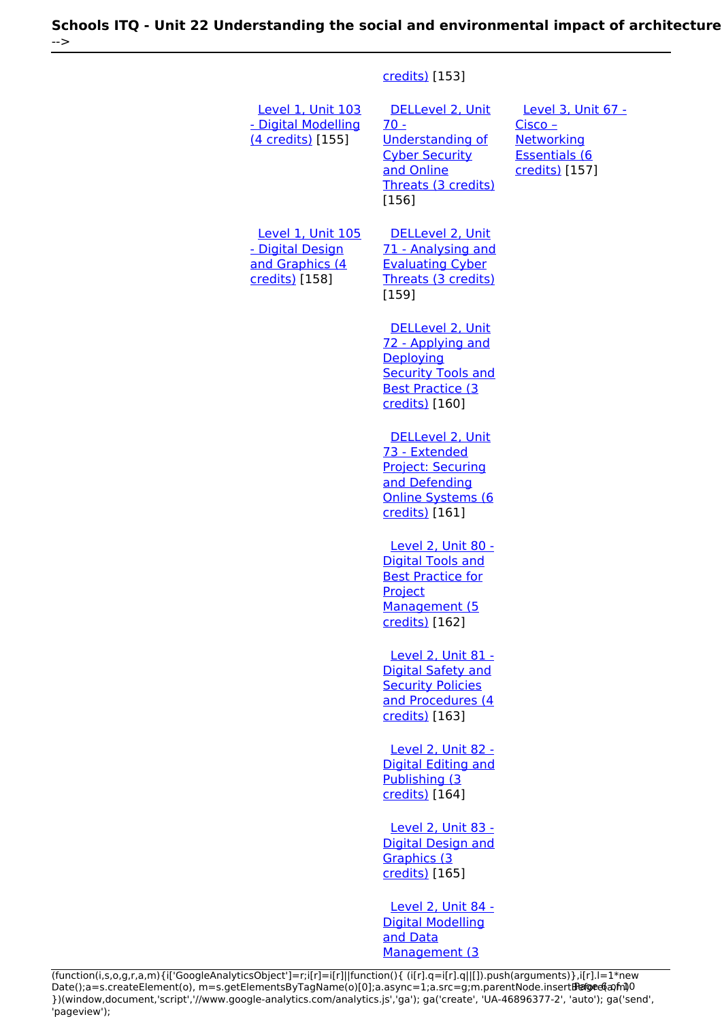#### [credits\)](https://theingots.org/community/sil2u51) [153]

 [Level 1, Unit 103](https://theingots.org/community/sil1u103) [- Digital Modelling](https://theingots.org/community/sil1u103) [\(4 credits\)](https://theingots.org/community/sil1u103) [155] [DELLevel 2, Unit](https://theingots.org/community/sil2u70) [70 -](https://theingots.org/community/sil2u70) [Understanding of](https://theingots.org/community/sil2u70) [Cyber Security](https://theingots.org/community/sil2u70) [and Online](https://theingots.org/community/sil2u70) [Threats \(3 credits\)](https://theingots.org/community/sil2u70) [156] [Level 3, Unit 67 -](https://theingots.org/community/sil3u67) [Cisco –](https://theingots.org/community/sil3u67) **[Networking](https://theingots.org/community/sil3u67)** [Essentials \(6](https://theingots.org/community/sil3u67) [credits\)](https://theingots.org/community/sil3u67) [157] [Level 1, Unit 105](https://theingots.org/community/sil1u105) [- Digital Design](https://theingots.org/community/sil1u105) [and Graphics \(4](https://theingots.org/community/sil1u105) [credits\)](https://theingots.org/community/sil1u105) [158] [DELLevel 2, Unit](https://theingots.org/community/sil2u71) [71 - Analysing and](https://theingots.org/community/sil2u71) [Evaluating Cyber](https://theingots.org/community/sil2u71) [Threats \(3 credits\)](https://theingots.org/community/sil2u71) [159] [DELLevel 2, Unit](https://theingots.org/community/sil2u72) [72 - Applying and](https://theingots.org/community/sil2u72) **[Deploying](https://theingots.org/community/sil2u72) [Security Tools and](https://theingots.org/community/sil2u72)** [Best Practice \(3](https://theingots.org/community/sil2u72) [credits\)](https://theingots.org/community/sil2u72) [160] [DELLevel 2, Unit](https://theingots.org/community/sil2u73) [73 - Extended](https://theingots.org/community/sil2u73) [Project: Securing](https://theingots.org/community/sil2u73) [and Defending](https://theingots.org/community/sil2u73) [Online Systems \(6](https://theingots.org/community/sil2u73) [credits\)](https://theingots.org/community/sil2u73) [161] [Level 2, Unit 80 -](https://theingots.org/community/sil2u80) [Digital Tools and](https://theingots.org/community/sil2u80) [Best Practice for](https://theingots.org/community/sil2u80) [Project](https://theingots.org/community/sil2u80) [Management \(5](https://theingots.org/community/sil2u80) [credits\)](https://theingots.org/community/sil2u80) [162] [Level 2, Unit 81 -](https://theingots.org/community/sil2u81) [Digital Safety and](https://theingots.org/community/sil2u81) [Security Policies](https://theingots.org/community/sil2u81) [and Procedures \(4](https://theingots.org/community/sil2u81) [credits\)](https://theingots.org/community/sil2u81) [163] [Level 2, Unit 82 -](https://theingots.org/community/sil2u82) [Digital Editing and](https://theingots.org/community/sil2u82) [Publishing \(3](https://theingots.org/community/sil2u82) [credits\)](https://theingots.org/community/sil2u82) [164] [Level 2, Unit 83 -](https://theingots.org/community/sil2u83) [Digital Design and](https://theingots.org/community/sil2u83) [Graphics \(3](https://theingots.org/community/sil2u83) [credits\)](https://theingots.org/community/sil2u83) [165] [Level 2, Unit 84 -](https://theingots.org/community/sil2u84) [Digital Modelling](https://theingots.org/community/sil2u84) [and Data](https://theingots.org/community/sil2u84) [Management \(3](https://theingots.org/community/sil2u84)

[\(function\(i,s,o,g,r,a,m\){i\['GoogleAnalyticsObject'\]=r;i\[r\]=i\[r\]||function\(\){ \(i\[r\].q=i\[r\].q||\[\]\).push\(arguments\)},i\[r\].l=1\\*new](https://theingots.org/community/sil2u84) Date();a=s.createElement(o), m=s.getElementsByTagName(o)[0];a.async=1;a.src=g;m.parentNode.insert**Bෂ@e**ඡ@*t*hil [}\)\(window,document,'script','//www.google-analytics.com/analytics.js','ga'\); ga\('create', 'UA-46896377-2', 'auto'\); ga\('send',](https://theingots.org/community/sil2u84) ['pageview'\);](https://theingots.org/community/sil2u84)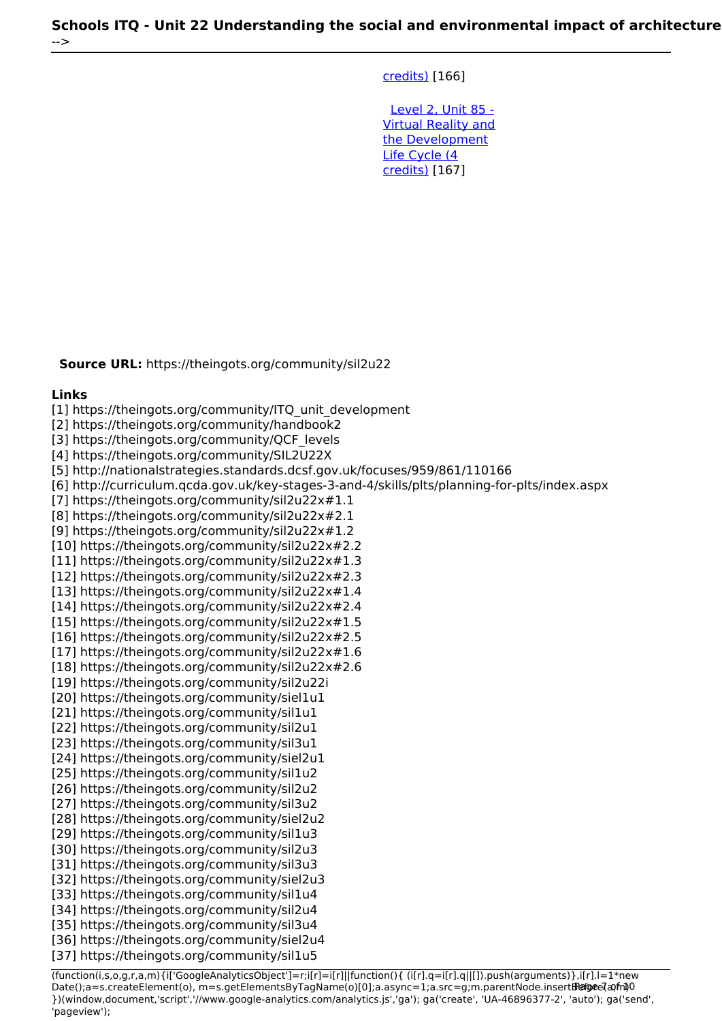[credits\)](https://theingots.org/community/sil2u84) [166]

 [Level 2, Unit 85 -](https://theingots.org/community/sil2u85) [Virtual Reality and](https://theingots.org/community/sil2u85) [the Development](https://theingots.org/community/sil2u85) [Life Cycle \(4](https://theingots.org/community/sil2u85) [credits\)](https://theingots.org/community/sil2u85) [167]

**Source URL:** https://theingots.org/community/sil2u22

#### **Links**

[1] https://theingots.org/community/ITQ\_unit\_development

[2] https://theingots.org/community/handbook2

[3] https://theingots.org/community/QCF\_levels

[4] https://theingots.org/community/SIL2U22X

[5] http://nationalstrategies.standards.dcsf.gov.uk/focuses/959/861/110166

[6] http://curriculum.qcda.gov.uk/key-stages-3-and-4/skills/plts/planning-for-plts/index.aspx

[7] https://theingots.org/community/sil2u22x#1.1

[8] https://theingots.org/community/sil2u22x#2.1

[9] https://theingots.org/community/sil2u22x#1.2

[10] https://theingots.org/community/sil2u22x#2.2

[11] https://theingots.org/community/sil2u22x#1.3

[12] https://theingots.org/community/sil2u22x#2.3

[13] https://theingots.org/community/sil2u22x#1.4

[14] https://theingots.org/community/sil2u22x#2.4

[15] https://theingots.org/community/sil2u22x#1.5

[16] https://theingots.org/community/sil2u22x#2.5

[17] https://theingots.org/community/sil2u22x#1.6

[18] https://theingots.org/community/sil2u22x#2.6

[19] https://theingots.org/community/sil2u22i

[20] https://theingots.org/community/siel1u1

[21] https://theingots.org/community/sil1u1

[22] https://theingots.org/community/sil2u1

[23] https://theingots.org/community/sil3u1 [24] https://theingots.org/community/siel2u1

[25] https://theingots.org/community/sil1u2

[26] https://theingots.org/community/sil2u2

[27] https://theingots.org/community/sil3u2

[28] https://theingots.org/community/siel2u2

[29] https://theingots.org/community/sil1u3

[30] https://theingots.org/community/sil2u3

[31] https://theingots.org/community/sil3u3

[32] https://theingots.org/community/siel2u3

[33] https://theingots.org/community/sil1u4

[34] https://theingots.org/community/sil2u4

[35] https://theingots.org/community/sil3u4

[36] https://theingots.org/community/siel2u4

[37] https://theingots.org/community/sil1u5

(function(i,s,o,g,r,a,m){i['GoogleAnalyticsObject']=r;i[r]=i[r]||function(){ (i[r].q=i[r].q||[]).push(arguments)},i[r].l=1\*new Date();a=s.createElement(o), m=s.getElementsByTagName(o)[0];a.async=1;a.src=g;m.parentNode.insert**Before**(apfn)0 })(window,document,'script','//www.google-analytics.com/analytics.js','ga'); ga('create', 'UA-46896377-2', 'auto'); ga('send', 'pageview');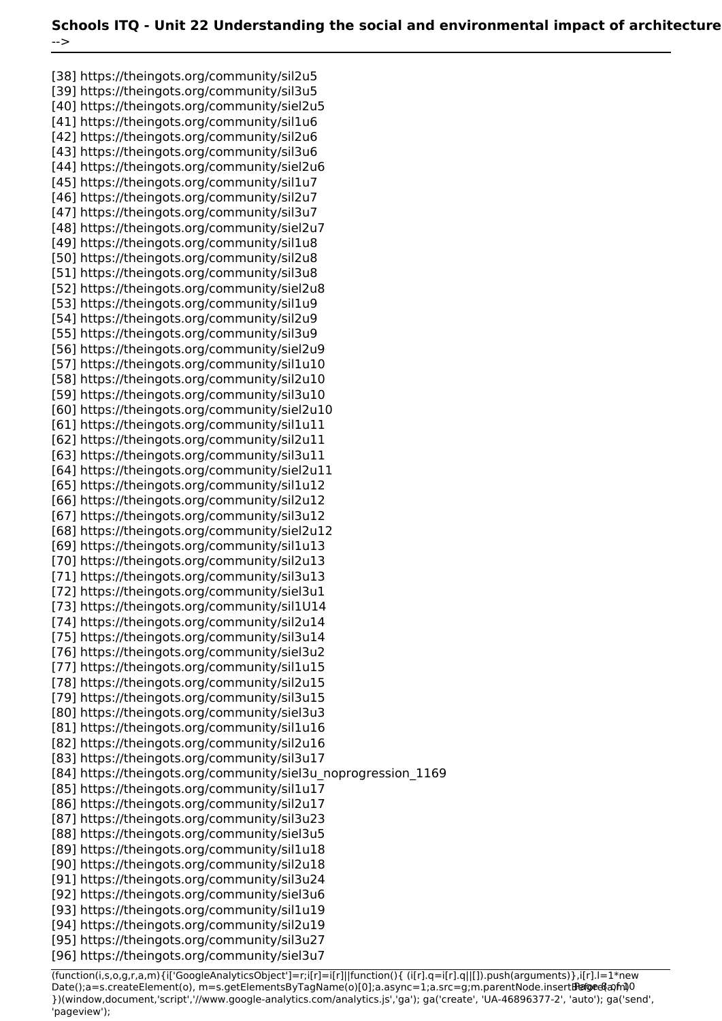[38] https://theingots.org/community/sil2u5 [39] https://theingots.org/community/sil3u5 [40] https://theingots.org/community/siel2u5 [41] https://theingots.org/community/sil1u6 [42] https://theingots.org/community/sil2u6 [43] https://theingots.org/community/sil3u6 [44] https://theingots.org/community/siel2u6 [45] https://theingots.org/community/sil1u7 [46] https://theingots.org/community/sil2u7 [47] https://theingots.org/community/sil3u7 [48] https://theingots.org/community/siel2u7 [49] https://theingots.org/community/sil1u8 [50] https://theingots.org/community/sil2u8 [51] https://theingots.org/community/sil3u8 [52] https://theingots.org/community/siel2u8 [53] https://theingots.org/community/sil1u9 [54] https://theingots.org/community/sil2u9 [55] https://theingots.org/community/sil3u9 [56] https://theingots.org/community/siel2u9 [57] https://theingots.org/community/sil1u10 [58] https://theingots.org/community/sil2u10 [59] https://theingots.org/community/sil3u10 [60] https://theingots.org/community/siel2u10 [61] https://theingots.org/community/sil1u11 [62] https://theingots.org/community/sil2u11 [63] https://theingots.org/community/sil3u11 [64] https://theingots.org/community/siel2u11 [65] https://theingots.org/community/sil1u12 [66] https://theingots.org/community/sil2u12 [67] https://theingots.org/community/sil3u12 [68] https://theingots.org/community/siel2u12 [69] https://theingots.org/community/sil1u13 [70] https://theingots.org/community/sil2u13 [71] https://theingots.org/community/sil3u13 [72] https://theingots.org/community/siel3u1 [73] https://theingots.org/community/sil1U14 [74] https://theingots.org/community/sil2u14 [75] https://theingots.org/community/sil3u14 [76] https://theingots.org/community/siel3u2 [77] https://theingots.org/community/sil1u15 [78] https://theingots.org/community/sil2u15 [79] https://theingots.org/community/sil3u15 [80] https://theingots.org/community/siel3u3 [81] https://theingots.org/community/sil1u16 [82] https://theingots.org/community/sil2u16 [83] https://theingots.org/community/sil3u17 [84] https://theingots.org/community/siel3u\_noprogression\_1169 [85] https://theingots.org/community/sil1u17 [86] https://theingots.org/community/sil2u17 [87] https://theingots.org/community/sil3u23 [88] https://theingots.org/community/siel3u5 [89] https://theingots.org/community/sil1u18 [90] https://theingots.org/community/sil2u18 [91] https://theingots.org/community/sil3u24 [92] https://theingots.org/community/siel3u6 [93] https://theingots.org/community/sil1u19 [94] https://theingots.org/community/sil2u19 [95] https://theingots.org/community/sil3u27 [96] https://theingots.org/community/siel3u7

(function(i,s,o,g,r,a,m){i['GoogleAnalyticsObject']=r;i[r]=i[r]||function(){ (i[r].q=i[r].q||[]).push(arguments)},i[r].l=1\*new Date();a=s.createElement(o), m=s.getElementsByTagName(o)[0];a.async=1;a.src=g;m.parentNode.insert**Bෂ@e**&aภ*f*ii)0 })(window,document,'script','//www.google-analytics.com/analytics.js','ga'); ga('create', 'UA-46896377-2', 'auto'); ga('send', 'pageview');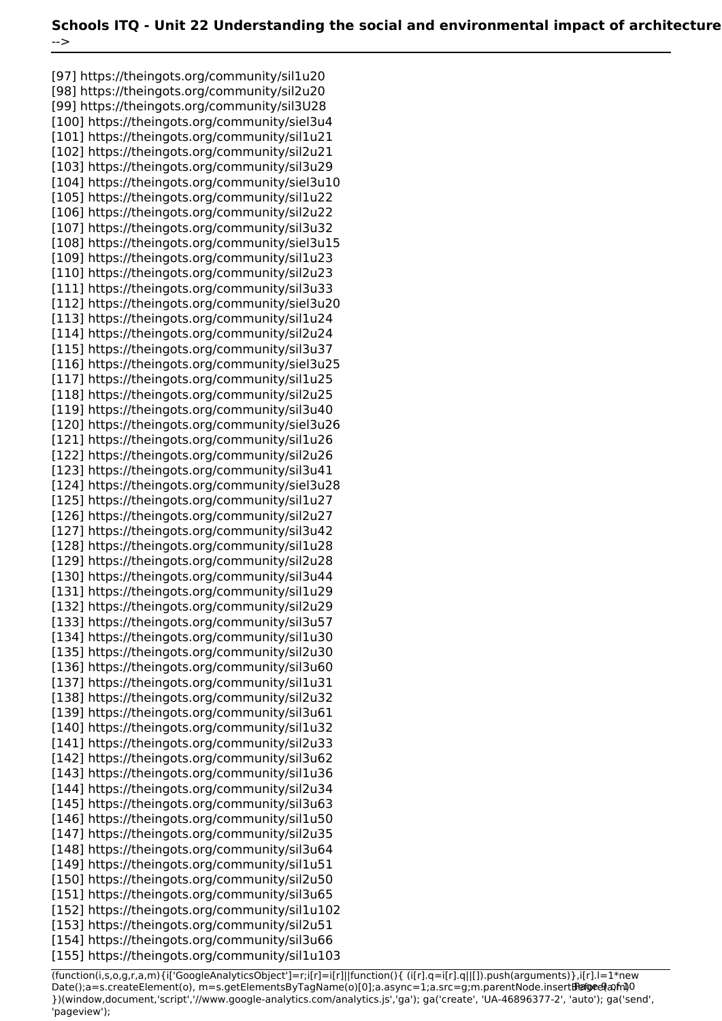[97] https://theingots.org/community/sil1u20 [98] https://theingots.org/community/sil2u20 [99] https://theingots.org/community/sil3U28 [100] https://theingots.org/community/siel3u4 [101] https://theingots.org/community/sil1u21 [102] https://theingots.org/community/sil2u21 [103] https://theingots.org/community/sil3u29 [104] https://theingots.org/community/siel3u10 [105] https://theingots.org/community/sil1u22 [106] https://theingots.org/community/sil2u22 [107] https://theingots.org/community/sil3u32 [108] https://theingots.org/community/siel3u15 [109] https://theingots.org/community/sil1u23 [110] https://theingots.org/community/sil2u23 [111] https://theingots.org/community/sil3u33 [112] https://theingots.org/community/siel3u20 [113] https://theingots.org/community/sil1u24 [114] https://theingots.org/community/sil2u24 [115] https://theingots.org/community/sil3u37 [116] https://theingots.org/community/siel3u25 [117] https://theingots.org/community/sil1u25 [118] https://theingots.org/community/sil2u25 [119] https://theingots.org/community/sil3u40 [120] https://theingots.org/community/siel3u26 [121] https://theingots.org/community/sil1u26 [122] https://theingots.org/community/sil2u26 [123] https://theingots.org/community/sil3u41 [124] https://theingots.org/community/siel3u28 [125] https://theingots.org/community/sil1u27 [126] https://theingots.org/community/sil2u27 [127] https://theingots.org/community/sil3u42 [128] https://theingots.org/community/sil1u28 [129] https://theingots.org/community/sil2u28 [130] https://theingots.org/community/sil3u44 [131] https://theingots.org/community/sil1u29 [132] https://theingots.org/community/sil2u29 [133] https://theingots.org/community/sil3u57 [134] https://theingots.org/community/sil1u30 [135] https://theingots.org/community/sil2u30 [136] https://theingots.org/community/sil3u60 [137] https://theingots.org/community/sil1u31 [138] https://theingots.org/community/sil2u32 [139] https://theingots.org/community/sil3u61 [140] https://theingots.org/community/sil1u32 [141] https://theingots.org/community/sil2u33 [142] https://theingots.org/community/sil3u62 [143] https://theingots.org/community/sil1u36 [144] https://theingots.org/community/sil2u34 [145] https://theingots.org/community/sil3u63 [146] https://theingots.org/community/sil1u50 [147] https://theingots.org/community/sil2u35 [148] https://theingots.org/community/sil3u64 [149] https://theingots.org/community/sil1u51 [150] https://theingots.org/community/sil2u50 [151] https://theingots.org/community/sil3u65 [152] https://theingots.org/community/sil1u102 [153] https://theingots.org/community/sil2u51 [154] https://theingots.org/community/sil3u66 [155] https://theingots.org/community/sil1u103

(function(i,s,o,g,r,a,m){i['GoogleAnalyticsObject']=r;i[r]=i[r]||function(){ (i[r].q=i[r].q||[]).push(arguments)},i[r].l=1\*new Date();a=s.createElement(o), m=s.getElementsByTagName(o)[0];a.async=1;a.src=g;m.parentNode.insert**Bෂ@e**ේ ආከ $\emptyset$ 0 })(window,document,'script','//www.google-analytics.com/analytics.js','ga'); ga('create', 'UA-46896377-2', 'auto'); ga('send', 'pageview');